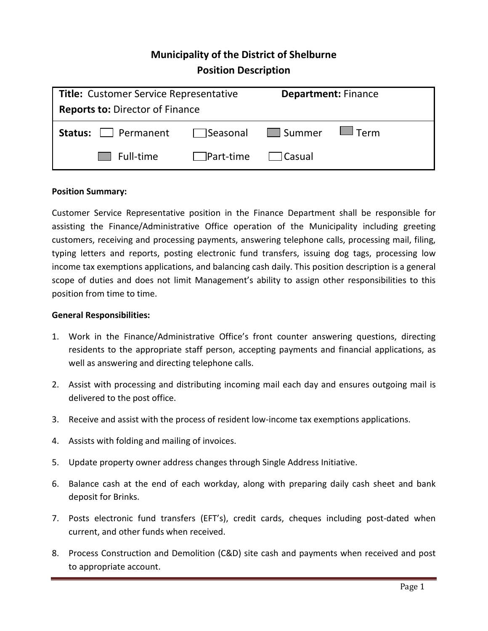# **Municipality of the District of Shelburne Position Description**

| <b>Title:</b> Customer Service Representative                                                              |                                | <b>Department: Finance</b> |             |
|------------------------------------------------------------------------------------------------------------|--------------------------------|----------------------------|-------------|
| <b>Reports to: Director of Finance</b>                                                                     |                                |                            |             |
| <b>Status:</b> Permanent Status: Permanent Status: Permanent Status: Permanent Status: Permanent Status: P |                                |                            | $\Box$ Term |
| $\Box$ Full-time                                                                                           | $\Box$ Part-time $\Box$ Casual |                            |             |

# **Position Summary:**

Customer Service Representative position in the Finance Department shall be responsible for assisting the Finance/Administrative Office operation of the Municipality including greeting customers, receiving and processing payments, answering telephone calls, processing mail, filing, typing letters and reports, posting electronic fund transfers, issuing dog tags, processing low income tax exemptions applications, and balancing cash daily. This position description is a general scope of duties and does not limit Management's ability to assign other responsibilities to this position from time to time.

### **General Responsibilities:**

- 1. Work in the Finance/Administrative Office's front counter answering questions, directing residents to the appropriate staff person, accepting payments and financial applications, as well as answering and directing telephone calls.
- 2. Assist with processing and distributing incoming mail each day and ensures outgoing mail is delivered to the post office.
- 3. Receive and assist with the process of resident low-income tax exemptions applications.
- 4. Assists with folding and mailing of invoices.
- 5. Update property owner address changes through Single Address Initiative.
- 6. Balance cash at the end of each workday, along with preparing daily cash sheet and bank deposit for Brinks.
- 7. Posts electronic fund transfers (EFT's), credit cards, cheques including post-dated when current, and other funds when received.
- 8. Process Construction and Demolition (C&D) site cash and payments when received and post to appropriate account.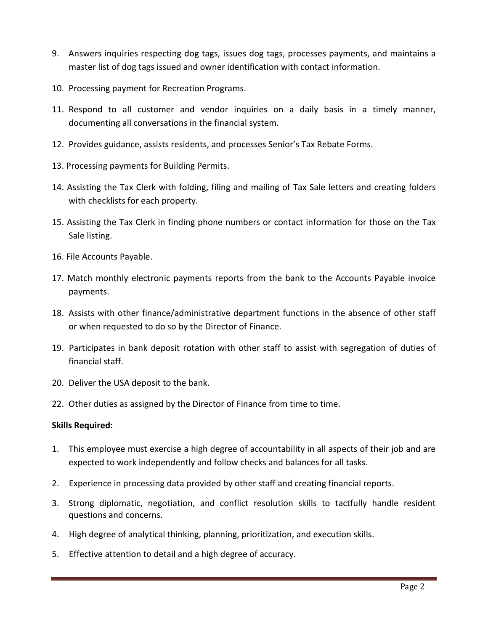- 9. Answers inquiries respecting dog tags, issues dog tags, processes payments, and maintains a master list of dog tags issued and owner identification with contact information.
- 10. Processing payment for Recreation Programs.
- 11. Respond to all customer and vendor inquiries on a daily basis in a timely manner, documenting all conversations in the financial system.
- 12. Provides guidance, assists residents, and processes Senior's Tax Rebate Forms.
- 13. Processing payments for Building Permits.
- 14. Assisting the Tax Clerk with folding, filing and mailing of Tax Sale letters and creating folders with checklists for each property.
- 15. Assisting the Tax Clerk in finding phone numbers or contact information for those on the Tax Sale listing.
- 16. File Accounts Payable.
- 17. Match monthly electronic payments reports from the bank to the Accounts Payable invoice payments.
- 18. Assists with other finance/administrative department functions in the absence of other staff or when requested to do so by the Director of Finance.
- 19. Participates in bank deposit rotation with other staff to assist with segregation of duties of financial staff.
- 20. Deliver the USA deposit to the bank.
- 22. Other duties as assigned by the Director of Finance from time to time.

# **Skills Required:**

- 1. This employee must exercise a high degree of accountability in all aspects of their job and are expected to work independently and follow checks and balances for all tasks.
- 2. Experience in processing data provided by other staff and creating financial reports.
- 3. Strong diplomatic, negotiation, and conflict resolution skills to tactfully handle resident questions and concerns.
- 4. High degree of analytical thinking, planning, prioritization, and execution skills.
- 5. Effective attention to detail and a high degree of accuracy.